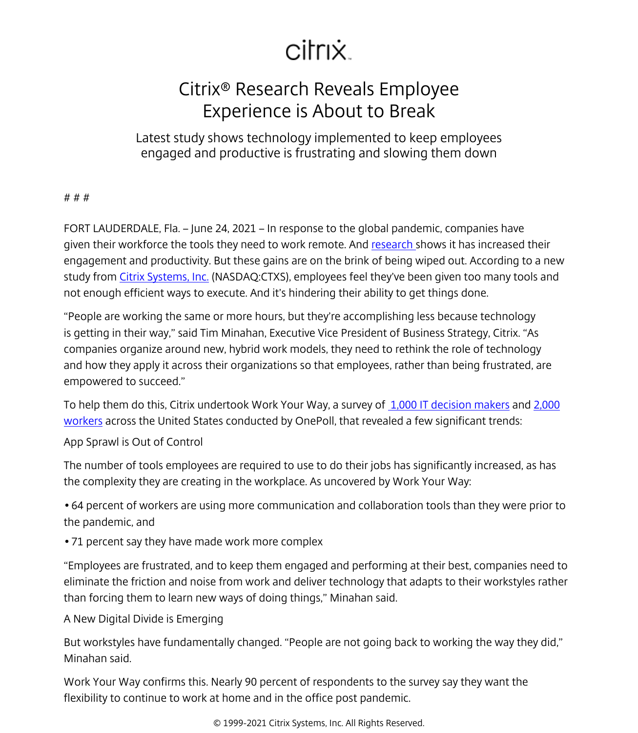## citrix.

## Citrix® Research Reveals Employee Experience is About to Break

Latest study shows technology implemented to keep employees engaged and productive is frustrating and slowing them down

## # # #

FORT LAUDERDALE, Fla. – June 24, 2021 – In response to the global pandemic, companies have given their workforce the tools they need to work remote. And [research s](/content/citrix/da-dk/news/announcements/apr-2020/remote-work-the-new-normal.html)hows it has increased their engagement and productivity. But these gains are on the brink of being wiped out. According to a new study from [Citrix Systems, Inc.](/content/citrix/da-dk/
            .html) (NASDAQ:CTXS), employees feel they've been given too many tools and not enough efficient ways to execute. And it's hindering their ability to get things done.

"People are working the same or more hours, but they're accomplishing less because technology is getting in their way," said Tim Minahan, Executive Vice President of Business Strategy, Citrix. "As companies organize around new, hybrid work models, they need to rethink the role of technology and how they apply it across their organizations so that employees, rather than being frustrated, are empowered to succeed."

To help them do this, Citrix undertook Work Your Way, a survey of 1,000 IT decision makers and 2,000 workers across the United States conducted by OnePoll, that revealed a few significant trends:

App Sprawl is Out of Control

The number of tools employees are required to use to do their jobs has significantly increased, as has the complexity they are creating in the workplace. As uncovered by Work Your Way:

• 64 percent of workers are using more communication and collaboration tools than they were prior to the pandemic, and

• 71 percent say they have made work more complex

"Employees are frustrated, and to keep them engaged and performing at their best, companies need to eliminate the friction and noise from work and deliver technology that adapts to their workstyles rather than forcing them to learn new ways of doing things," Minahan said.

A New Digital Divide is Emerging

But workstyles have fundamentally changed. "People are not going back to working the way they did," Minahan said.

Work Your Way confirms this. Nearly 90 percent of respondents to the survey say they want the flexibility to continue to work at home and in the office post pandemic.

© 1999-2021 Citrix Systems, Inc. All Rights Reserved.